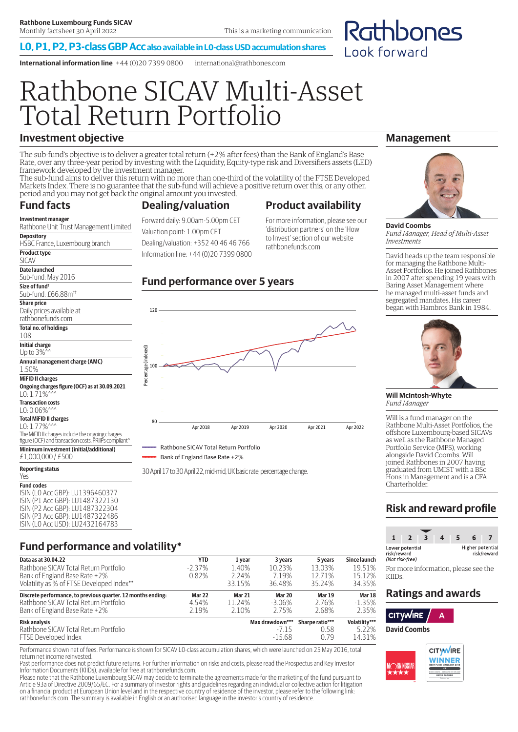#### **L0, P1, P2, P3-class GBP Acc also available in L0-class USD accumulation shares**

**International information line** +44 (0)20 7399 0800 international@rathbones.com

# Rathbone SICAV Multi-Asset Total Return Portfolio

## **Investment objective**

The sub-fund's objective is to deliver a greater total return (+2% after fees) than the Bank of England's Base Rate, over any three-year period by investing with the Liquidity, Equity-type risk and Diversifiers assets (LED) framework developed by the investment manager.

The sub-fund aims to deliver this return with no more than one-third of the volatility of the FTSE Developed Markets Index. There is no guarantee that the sub-fund will achieve a positive return over this, or any other, period and you may not get back the original amount you invested.

## **Fund facts**

## **Product availability**

**Investment manager** Rathbone Unit Trust Management Limited **Depository** HSBC France, Luxembourg branch **Product type** SICAV **Date launched** Sub-fund: May 2016 **Size of fund†** Sub-fund: £66.88m†† **Share price** Daily prices available at rathbonefunds.com **Total no. of holdings** 108 **Initial charge** Up to 3%^^ **Annual management charge (AMC)**

1.50% **MiFID II charges Ongoing charges figure (OCF) as at 30.09.2021** L0: 1.71%<sup>^</sup>

**Transaction costs**  $LO: 0.06\%^{\wedge}$ **Total MiFID II charges**

L0: 1.77%<sup>^</sup>

The MiFID II charges include the ongoing charges figure (OCF) and transaction costs. PRIIPs compliant

**Minimum investment (initial/additional)**

£1,000,000 / £500 **Reporting status**

#### Yes **Fund codes** ISIN (L0 Acc GBP): LU1396460377

ISIN (P1 Acc GBP): LU1487322130 ISIN (P2 Acc GBP): LU1487322304 ISIN (P3 Acc GBP): LU1487322486 ISIN (L0 Acc USD): LU2432164783

#### Valuation point: 1.00pm CET Dealing/valuation: +352 40 46 46 766 Information line: +44 (0)20 7399 0800 For more information, please see our 'distribution partners' on the 'How to Invest' section of our website rathbonefunds.com

## **Fund performance over 5 years**



Bank of England Base Rate +2%

30 April 17 to 30 April 22, mid-mid, UK basic rate, percentage change.

## **Management**

Rathbones

Look forward



**David Coombs** *Fund Manager, Head of Multi-Asset Investments*

David heads up the team responsible for managing the Rathbone Multi-Asset Portfolios. He joined Rathbones in 2007 after spending 19 years with Baring Asset Management where he managed multi-asset funds and segregated mandates. His career began with Hambros Bank in 1984.



**Will McIntosh-Whyte** *Fund Manager*

Will is a fund manager on the Rathbone Multi-Asset Portfolios, the offshore Luxembourg-based SICAVs as well as the Rathbone Managed Portfolio Service (MPS), working alongside David Coombs. Will joined Rathbones in 2007 having graduated from UMIST with a BSc Hons in Management and is a CFA Charterholder.

## **Risk and reward profile**



For more information, please see the KIIDs.

## **Ratings and awards**



**David Coombs**



## **Fund performance and volatility\***

| Data as at 30.04.22                                          | <b>YTD</b>    | 1 year        | 3 years         | 5 years         | <b>Since launch</b> |
|--------------------------------------------------------------|---------------|---------------|-----------------|-----------------|---------------------|
| Rathbone SICAV Total Return Portfolio                        | $-2.37\%$     | 1.40%         | 10.23%          | 13.03%          | 19.51%              |
| Bank of England Base Rate +2%                                | 0.82%         | 2.24%         | 7.19%           | 12.71%          | 15.12%              |
| Volatility as % of FTSE Developed Index**                    |               | 33.15%        | 36.48%          | 35.24%          | 34.35%              |
| Discrete performance, to previous quarter. 12 months ending: | <b>Mar 22</b> | <b>Mar 21</b> | Mar 20          | <b>Mar 19</b>   | Mar <sub>18</sub>   |
| Rathbone SICAV Total Return Portfolio                        | 4.54%         | 11.24%        | $-3.06\%$       | 2.76%           | $-1.35%$            |
| Bank of England Base Rate +2%                                | 2.19%         | 2.10%         | 2.75%           | 2.68%           | 2.35%               |
| <b>Risk analysis</b>                                         |               |               | Max drawdown*** | Sharpe ratio*** | Volatility***       |
| Rathbone SICAV Total Return Portfolio                        |               |               | $-715$          | 0.58            | 5.22%               |
| FTSE Developed Index                                         |               |               | $-15.68$        | O 79            | 14.31%              |

Performance shown net of fees. Performance is shown for SICAV L0-class accumulation shares, which were launched on 25 May 2016, total return net income reinvested.

Past performance does not predict future returns. For further information on risks and costs, please read the Prospectus and Key Investor Information Documents (KIIDs), available for free at rathbonefunds.com.

Please note that the Rathbone Luxembourg SICAV may decide to terminate the agreements made for the marketing of the fund pursuant to Article 93a of Directive 2009/65/EC. For a summary of investor rights and guidelines regarding an individual or collective action for litigation on a financial product at European Union level and in the respective country of residence of the investor, please refer to the following link: rathbonefunds.com. The summary is available in English or an authorised language in the investor's country of residence.

**Dealing/valuation**

Forward daily: 9.00am-5.00pm CET